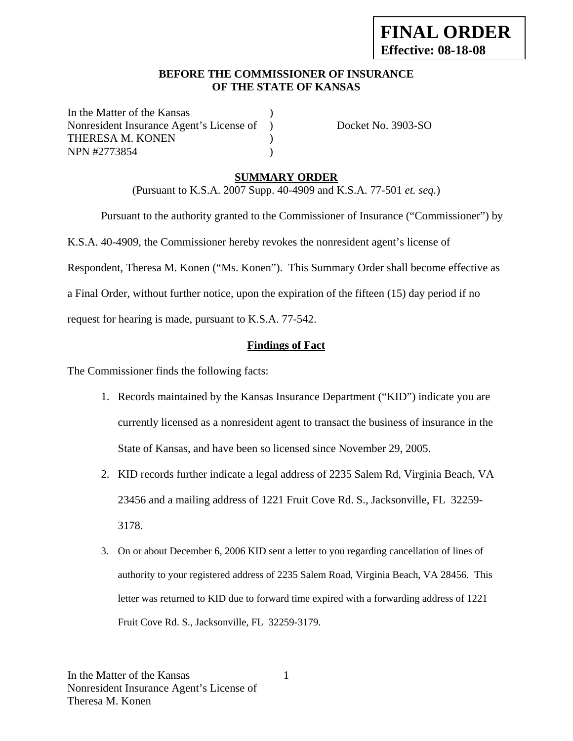## **BEFORE THE COMMISSIONER OF INSURANCE OF THE STATE OF KANSAS**

In the Matter of the Kansas Nonresident Insurance Agent's License of ) Docket No. 3903-SO THERESA M. KONEN (1997) NPN #2773854 )

## **SUMMARY ORDER**

(Pursuant to K.S.A. 2007 Supp. 40-4909 and K.S.A. 77-501 *et. seq.*)

 Pursuant to the authority granted to the Commissioner of Insurance ("Commissioner") by K.S.A. 40-4909, the Commissioner hereby revokes the nonresident agent's license of Respondent, Theresa M. Konen ("Ms. Konen"). This Summary Order shall become effective as a Final Order, without further notice, upon the expiration of the fifteen (15) day period if no request for hearing is made, pursuant to K.S.A. 77-542.

## **Findings of Fact**

The Commissioner finds the following facts:

- 1. Records maintained by the Kansas Insurance Department ("KID") indicate you are currently licensed as a nonresident agent to transact the business of insurance in the State of Kansas, and have been so licensed since November 29, 2005.
- 2. KID records further indicate a legal address of 2235 Salem Rd, Virginia Beach, VA 23456 and a mailing address of 1221 Fruit Cove Rd. S., Jacksonville, FL 32259- 3178.
- 3. On or about December 6, 2006 KID sent a letter to you regarding cancellation of lines of authority to your registered address of 2235 Salem Road, Virginia Beach, VA 28456. This letter was returned to KID due to forward time expired with a forwarding address of 1221 Fruit Cove Rd. S., Jacksonville, FL 32259-3179.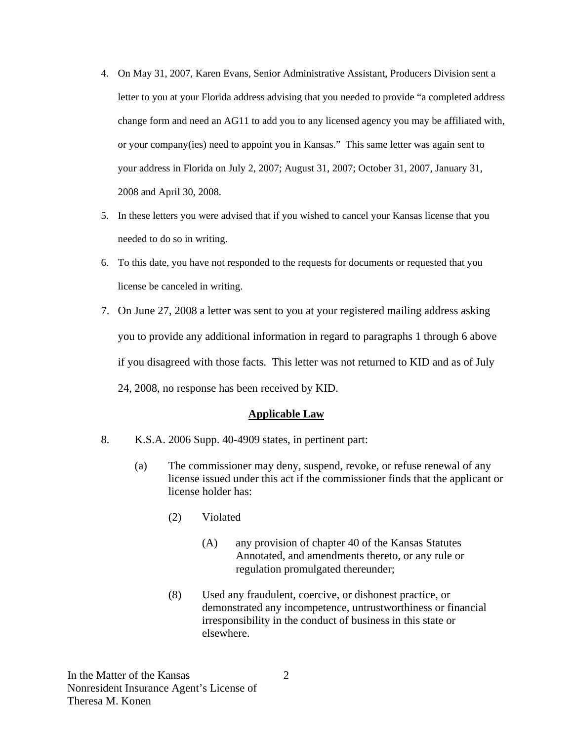- 4. On May 31, 2007, Karen Evans, Senior Administrative Assistant, Producers Division sent a letter to you at your Florida address advising that you needed to provide "a completed address change form and need an AG11 to add you to any licensed agency you may be affiliated with, or your company(ies) need to appoint you in Kansas." This same letter was again sent to your address in Florida on July 2, 2007; August 31, 2007; October 31, 2007, January 31, 2008 and April 30, 2008.
- 5. In these letters you were advised that if you wished to cancel your Kansas license that you needed to do so in writing.
- 6. To this date, you have not responded to the requests for documents or requested that you license be canceled in writing.
- 7. On June 27, 2008 a letter was sent to you at your registered mailing address asking you to provide any additional information in regard to paragraphs 1 through 6 above if you disagreed with those facts. This letter was not returned to KID and as of July 24, 2008, no response has been received by KID.

### **Applicable Law**

- 8. K.S.A. 2006 Supp. 40-4909 states, in pertinent part:
	- (a) The commissioner may deny, suspend, revoke, or refuse renewal of any license issued under this act if the commissioner finds that the applicant or license holder has:
		- (2) Violated
			- (A) any provision of chapter 40 of the Kansas Statutes Annotated, and amendments thereto, or any rule or regulation promulgated thereunder;
		- (8) Used any fraudulent, coercive, or dishonest practice, or demonstrated any incompetence, untrustworthiness or financial irresponsibility in the conduct of business in this state or elsewhere.

2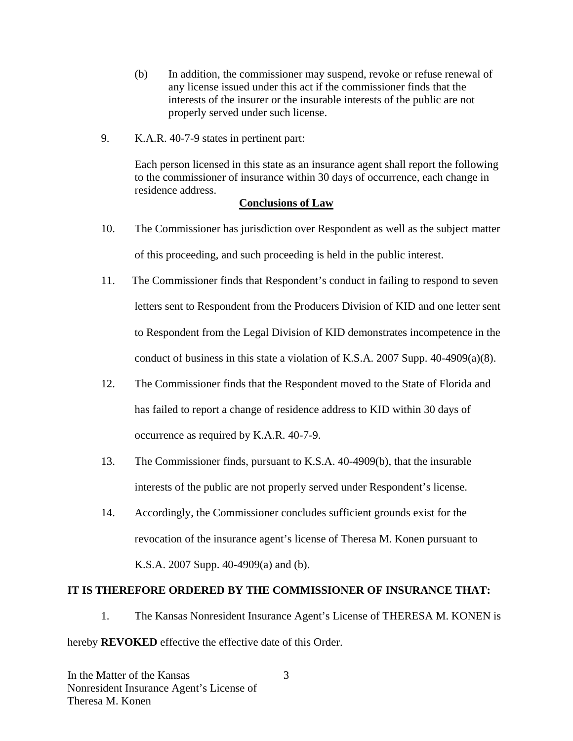- (b) In addition, the commissioner may suspend, revoke or refuse renewal of any license issued under this act if the commissioner finds that the interests of the insurer or the insurable interests of the public are not properly served under such license.
- 9. K.A.R. 40-7-9 states in pertinent part:

 Each person licensed in this state as an insurance agent shall report the following to the commissioner of insurance within 30 days of occurrence, each change in residence address.

### **Conclusions of Law**

- 10. The Commissioner has jurisdiction over Respondent as well as the subject matter of this proceeding, and such proceeding is held in the public interest.
- 11. The Commissioner finds that Respondent's conduct in failing to respond to seven letters sent to Respondent from the Producers Division of KID and one letter sent to Respondent from the Legal Division of KID demonstrates incompetence in the conduct of business in this state a violation of K.S.A. 2007 Supp.  $40-4909(a)(8)$ .
- 12. The Commissioner finds that the Respondent moved to the State of Florida and has failed to report a change of residence address to KID within 30 days of occurrence as required by K.A.R. 40-7-9.
- 13. The Commissioner finds, pursuant to K.S.A. 40-4909(b), that the insurable interests of the public are not properly served under Respondent's license.
- 14. Accordingly, the Commissioner concludes sufficient grounds exist for the revocation of the insurance agent's license of Theresa M. Konen pursuant to K.S.A. 2007 Supp. 40-4909(a) and (b).

### **IT IS THEREFORE ORDERED BY THE COMMISSIONER OF INSURANCE THAT:**

1. The Kansas Nonresident Insurance Agent's License of THERESA M. KONEN is hereby **REVOKED** effective the effective date of this Order.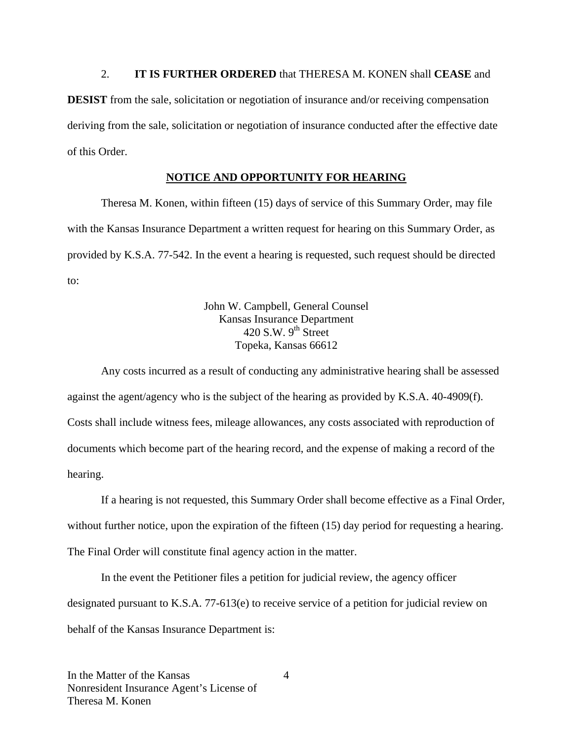2. **IT IS FURTHER ORDERED** that THERESA M. KONEN shall **CEASE** and **DESIST** from the sale, solicitation or negotiation of insurance and/or receiving compensation deriving from the sale, solicitation or negotiation of insurance conducted after the effective date of this Order.

### **NOTICE AND OPPORTUNITY FOR HEARING**

Theresa M. Konen, within fifteen (15) days of service of this Summary Order, may file with the Kansas Insurance Department a written request for hearing on this Summary Order, as provided by K.S.A. 77-542. In the event a hearing is requested, such request should be directed to:

> John W. Campbell, General Counsel Kansas Insurance Department 420 S.W.  $9^{th}$  Street Topeka, Kansas 66612

Any costs incurred as a result of conducting any administrative hearing shall be assessed against the agent/agency who is the subject of the hearing as provided by K.S.A. 40-4909(f). Costs shall include witness fees, mileage allowances, any costs associated with reproduction of documents which become part of the hearing record, and the expense of making a record of the hearing.

If a hearing is not requested, this Summary Order shall become effective as a Final Order, without further notice, upon the expiration of the fifteen (15) day period for requesting a hearing. The Final Order will constitute final agency action in the matter.

In the event the Petitioner files a petition for judicial review, the agency officer designated pursuant to K.S.A. 77-613(e) to receive service of a petition for judicial review on behalf of the Kansas Insurance Department is:

4

In the Matter of the Kansas Nonresident Insurance Agent's License of Theresa M. Konen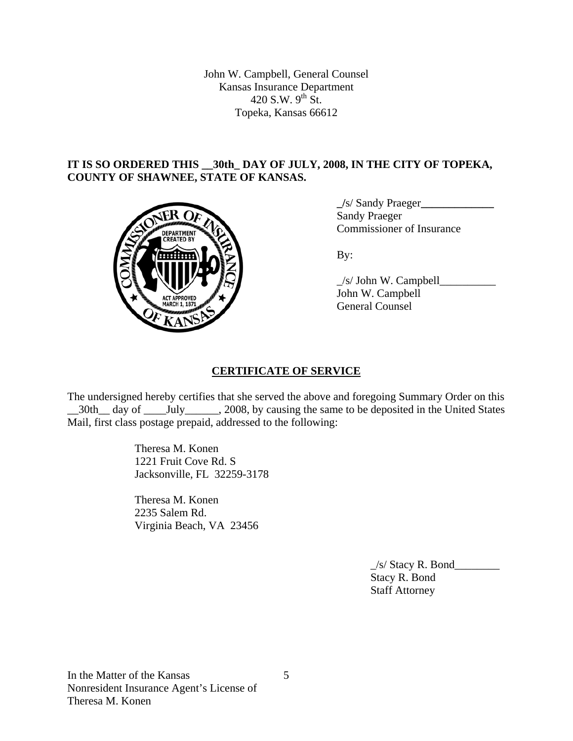John W. Campbell, General Counsel Kansas Insurance Department 420 S.W.  $9^{th}$  St. Topeka, Kansas 66612

## **IT IS SO ORDERED THIS \_\_30th\_ DAY OF JULY, 2008, IN THE CITY OF TOPEKA, COUNTY OF SHAWNEE, STATE OF KANSAS.**



 **\_/**s/ Sandy Praeger**\_\_\_\_\_\_\_\_\_\_\_\_\_** Sandy Praeger Commissioner of Insurance

 \_/s/ John W. Campbell\_\_\_\_\_\_\_\_\_\_ John W. Campbell General Counsel

# **CERTIFICATE OF SERVICE**

The undersigned hereby certifies that she served the above and foregoing Summary Order on this \_30th\_ day of \_\_\_\_July\_\_\_\_\_, 2008, by causing the same to be deposited in the United States Mail, first class postage prepaid, addressed to the following:

> Theresa M. Konen 1221 Fruit Cove Rd. S Jacksonville, FL 32259-3178

 Theresa M. Konen 2235 Salem Rd. Virginia Beach, VA 23456

> $\angle$ s/ Stacy R. Bond $\angle$  Stacy R. Bond Staff Attorney

5